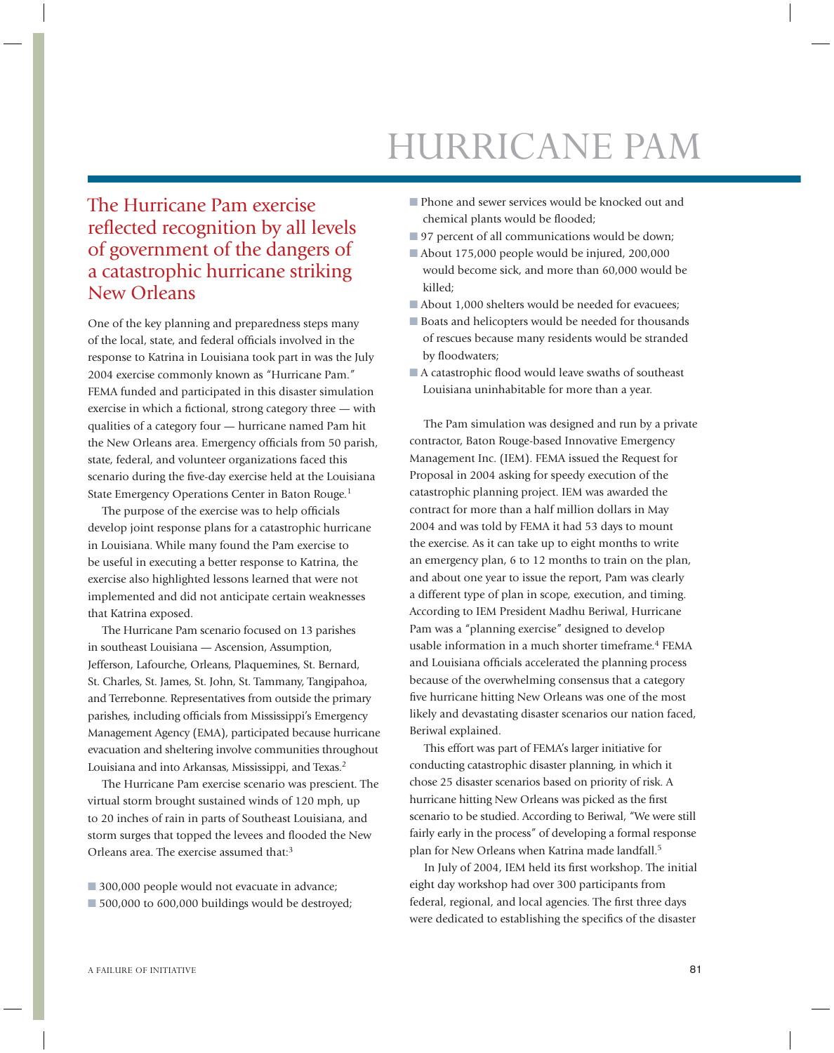## HURRICANE PAM

## The Hurricane Pam exercise reflected recognition by all levels of government of the dangers of a catastrophic hurricane striking New Orleans

One of the key planning and preparedness steps many of the local, state, and federal officials involved in the response to Katrina in Louisiana took part in was the July 2004 exercise commonly known as "Hurricane Pam." FEMA funded and participated in this disaster simulation exercise in which a fictional, strong category three  $-$  with qualities of a category four — hurricane named Pam hit the New Orleans area. Emergency officials from 50 parish, state, federal, and volunteer organizations faced this scenario during the five-day exercise held at the Louisiana State Emergency Operations Center in Baton Rouge.<sup>1</sup>

The purpose of the exercise was to help officials develop joint response plans for a catastrophic hurricane in Louisiana. While many found the Pam exercise to be useful in executing a better response to Katrina, the exercise also highlighted lessons learned that were not implemented and did not anticipate certain weaknesses that Katrina exposed.

The Hurricane Pam scenario focused on 13 parishes in southeast Louisiana — Ascension, Assumption, Jefferson, Lafourche, Orleans, Plaquemines, St. Bernard, St. Charles, St. James, St. John, St. Tammany, Tangipahoa, and Terrebonne. Representatives from outside the primary parishes, including officials from Mississippi's Emergency Management Agency (EMA), participated because hurricane evacuation and sheltering involve communities throughout Louisiana and into Arkansas, Mississippi, and Texas.<sup>2</sup>

The Hurricane Pam exercise scenario was prescient. The virtual storm brought sustained winds of 120 mph, up to 20 inches of rain in parts of Southeast Louisiana, and storm surges that topped the levees and flooded the New Orleans area. The exercise assumed that:<sup>3</sup>

- 300,000 people would not evacuate in advance;
- 500,000 to 600,000 buildings would be destroyed;
- Phone and sewer services would be knocked out and chemical plants would be flooded;
- 97 percent of all communications would be down;
- About 175,000 people would be injured, 200,000 would become sick, and more than 60,000 would be killed;
- About 1,000 shelters would be needed for evacuees;
- Boats and helicopters would be needed for thousands of rescues because many residents would be stranded by floodwaters;
- A catastrophic flood would leave swaths of southeast Louisiana uninhabitable for more than a year.

The Pam simulation was designed and run by a private contractor, Baton Rouge-based Innovative Emergency Management Inc. (IEM). FEMA issued the Request for Proposal in 2004 asking for speedy execution of the catastrophic planning project. IEM was awarded the contract for more than a half million dollars in May 2004 and was told by FEMA it had 53 days to mount the exercise. As it can take up to eight months to write an emergency plan, 6 to 12 months to train on the plan, and about one year to issue the report, Pam was clearly a different type of plan in scope, execution, and timing. According to IEM President Madhu Beriwal, Hurricane Pam was a "planning exercise" designed to develop usable information in a much shorter timeframe.<sup>4</sup> FEMA and Louisiana officials accelerated the planning process because of the overwhelming consensus that a category five hurricane hitting New Orleans was one of the most likely and devastating disaster scenarios our nation faced, Beriwal explained.

This effort was part of FEMA's larger initiative for conducting catastrophic disaster planning, in which it chose 25 disaster scenarios based on priority of risk. A hurricane hitting New Orleans was picked as the first scenario to be studied. According to Beriwal, "We were still fairly early in the process" of developing a formal response plan for New Orleans when Katrina made landfall.<sup>5</sup>

In July of 2004, IEM held its first workshop. The initial eight day workshop had over 300 participants from federal, regional, and local agencies. The first three days were dedicated to establishing the specifics of the disaster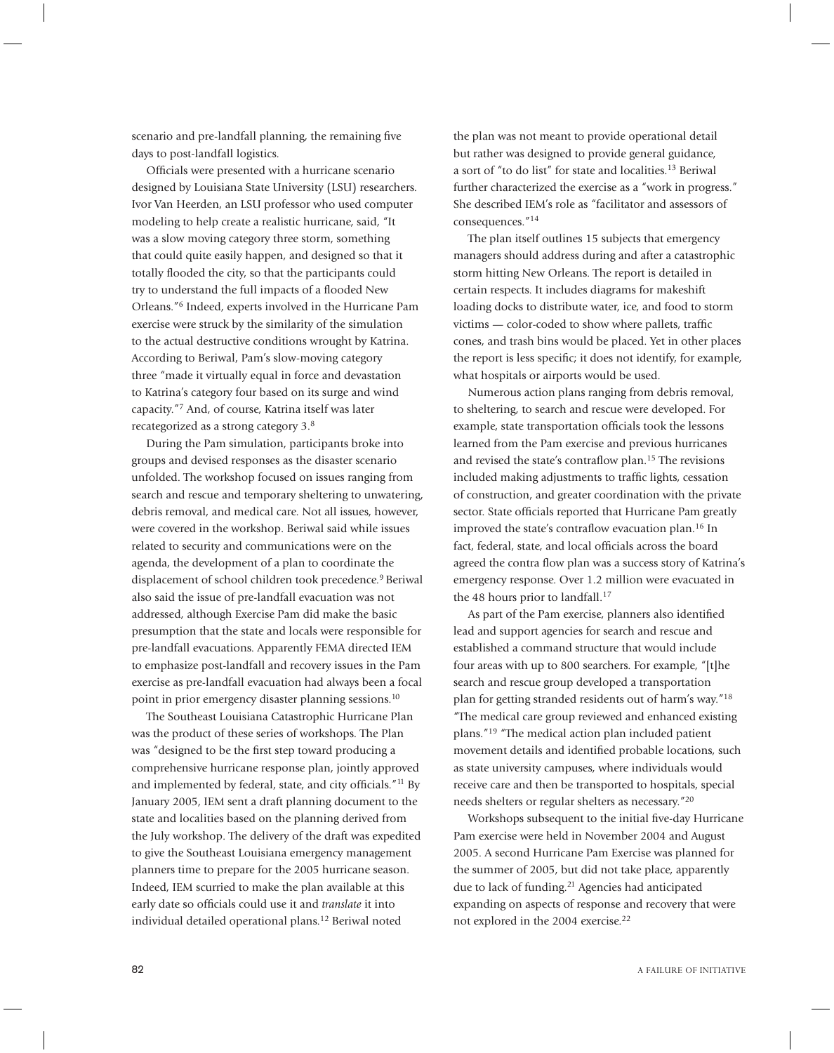scenario and pre-landfall planning, the remaining five days to post-landfall logistics.

Officials were presented with a hurricane scenario designed by Louisiana State University (LSU) researchers. Ivor Van Heerden, an LSU professor who used computer modeling to help create a realistic hurricane, said, "It was a slow moving category three storm, something that could quite easily happen, and designed so that it totally flooded the city, so that the participants could try to understand the full impacts of a flooded New Orleans."6 Indeed, experts involved in the Hurricane Pam exercise were struck by the similarity of the simulation to the actual destructive conditions wrought by Katrina. According to Beriwal, Pam's slow-moving category three "made it virtually equal in force and devastation to Katrina's category four based on its surge and wind capacity."7 And, of course, Katrina itself was later recategorized as a strong category 3.8

During the Pam simulation, participants broke into groups and devised responses as the disaster scenario unfolded. The workshop focused on issues ranging from search and rescue and temporary sheltering to unwatering, debris removal, and medical care. Not all issues, however, were covered in the workshop. Beriwal said while issues related to security and communications were on the agenda, the development of a plan to coordinate the displacement of school children took precedence.<sup>9</sup> Beriwal also said the issue of pre-landfall evacuation was not addressed, although Exercise Pam did make the basic presumption that the state and locals were responsible for pre-landfall evacuations. Apparently FEMA directed IEM to emphasize post-landfall and recovery issues in the Pam exercise as pre-landfall evacuation had always been a focal point in prior emergency disaster planning sessions.<sup>10</sup>

The Southeast Louisiana Catastrophic Hurricane Plan was the product of these series of workshops. The Plan was "designed to be the first step toward producing a comprehensive hurricane response plan, jointly approved and implemented by federal, state, and city officials."<sup>11</sup> By January 2005, IEM sent a draft planning document to the state and localities based on the planning derived from the July workshop. The delivery of the draft was expedited to give the Southeast Louisiana emergency management planners time to prepare for the 2005 hurricane season. Indeed, IEM scurried to make the plan available at this early date so officials could use it and *translate* it into individual detailed operational plans.12 Beriwal noted

the plan was not meant to provide operational detail but rather was designed to provide general guidance, a sort of "to do list" for state and localities.13 Beriwal further characterized the exercise as a "work in progress." She described IEM's role as "facilitator and assessors of consequences."<sup>14</sup>

The plan itself outlines 15 subjects that emergency managers should address during and after a catastrophic storm hitting New Orleans. The report is detailed in certain respects. It includes diagrams for makeshift loading docks to distribute water, ice, and food to storm victims — color-coded to show where pallets, traffic cones, and trash bins would be placed. Yet in other places the report is less specific; it does not identify, for example, what hospitals or airports would be used.

Numerous action plans ranging from debris removal, to sheltering, to search and rescue were developed. For example, state transportation officials took the lessons learned from the Pam exercise and previous hurricanes and revised the state's contraflow plan.<sup>15</sup> The revisions included making adjustments to traffic lights, cessation of construction, and greater coordination with the private sector. State officials reported that Hurricane Pam greatly improved the state's contraflow evacuation plan.<sup>16</sup> In fact, federal, state, and local officials across the board agreed the contra flow plan was a success story of Katrina's emergency response. Over 1.2 million were evacuated in the 48 hours prior to landfall.<sup>17</sup>

As part of the Pam exercise, planners also identified lead and support agencies for search and rescue and established a command structure that would include four areas with up to 800 searchers. For example, "[t]he search and rescue group developed a transportation plan for getting stranded residents out of harm's way."18 "The medical care group reviewed and enhanced existing plans."19 "The medical action plan included patient movement details and identified probable locations, such as state university campuses, where individuals would receive care and then be transported to hospitals, special needs shelters or regular shelters as necessary."20

Workshops subsequent to the initial five-day Hurricane Pam exercise were held in November 2004 and August 2005. A second Hurricane Pam Exercise was planned for the summer of 2005, but did not take place, apparently due to lack of funding.<sup>21</sup> Agencies had anticipated expanding on aspects of response and recovery that were not explored in the 2004 exercise.<sup>22</sup>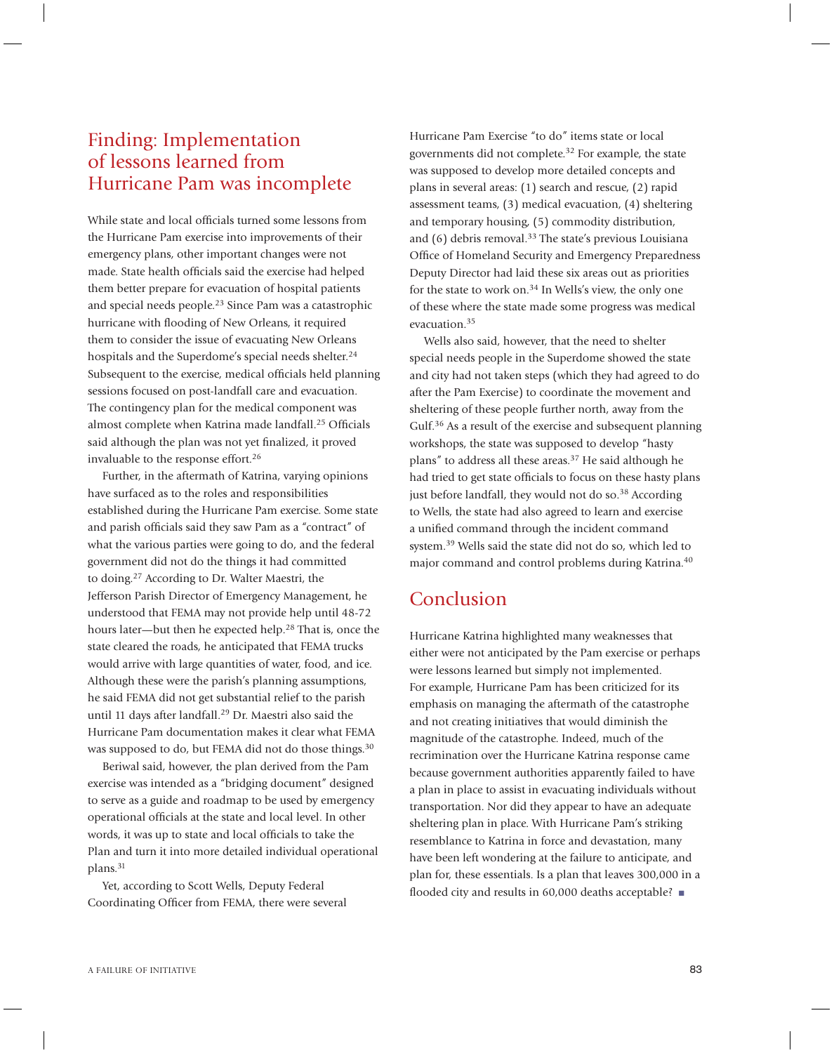## Finding: Implementation of lessons learned from Hurricane Pam was incomplete

While state and local officials turned some lessons from the Hurricane Pam exercise into improvements of their emergency plans, other important changes were not made. State health officials said the exercise had helped them better prepare for evacuation of hospital patients and special needs people.23 Since Pam was a catastrophic hurricane with flooding of New Orleans, it required them to consider the issue of evacuating New Orleans hospitals and the Superdome's special needs shelter.<sup>24</sup> Subsequent to the exercise, medical officials held planning sessions focused on post-landfall care and evacuation. The contingency plan for the medical component was almost complete when Katrina made landfall.<sup>25</sup> Officials said although the plan was not yet finalized, it proved invaluable to the response effort.<sup>26</sup>

Further, in the aftermath of Katrina, varying opinions have surfaced as to the roles and responsibilities established during the Hurricane Pam exercise. Some state and parish officials said they saw Pam as a "contract" of what the various parties were going to do, and the federal government did not do the things it had committed to doing.27 According to Dr. Walter Maestri, the Jefferson Parish Director of Emergency Management, he understood that FEMA may not provide help until 48-72 hours later—but then he expected help.<sup>28</sup> That is, once the state cleared the roads, he anticipated that FEMA trucks would arrive with large quantities of water, food, and ice. Although these were the parish's planning assumptions, he said FEMA did not get substantial relief to the parish until 11 days after landfall.29 Dr. Maestri also said the Hurricane Pam documentation makes it clear what FEMA was supposed to do, but FEMA did not do those things.<sup>30</sup>

Beriwal said, however, the plan derived from the Pam exercise was intended as a "bridging document" designed to serve as a guide and roadmap to be used by emergency operational officials at the state and local level. In other words, it was up to state and local officials to take the Plan and turn it into more detailed individual operational plans.31

Yet, according to Scott Wells, Deputy Federal Coordinating Officer from FEMA, there were several Hurricane Pam Exercise "to do" items state or local governments did not complete.32 For example, the state was supposed to develop more detailed concepts and plans in several areas: (1) search and rescue, (2) rapid assessment teams, (3) medical evacuation, (4) sheltering and temporary housing, (5) commodity distribution, and  $(6)$  debris removal.<sup>33</sup> The state's previous Louisiana Office of Homeland Security and Emergency Preparedness Deputy Director had laid these six areas out as priorities for the state to work on.<sup>34</sup> In Wells's view, the only one of these where the state made some progress was medical evacuation.35

Wells also said, however, that the need to shelter special needs people in the Superdome showed the state and city had not taken steps (which they had agreed to do after the Pam Exercise) to coordinate the movement and sheltering of these people further north, away from the Gulf.<sup>36</sup> As a result of the exercise and subsequent planning workshops, the state was supposed to develop "hasty plans" to address all these areas.37 He said although he had tried to get state officials to focus on these hasty plans just before landfall, they would not do so. $38$  According to Wells, the state had also agreed to learn and exercise a unified command through the incident command system.39 Wells said the state did not do so, which led to major command and control problems during Katrina.<sup>40</sup>

## Conclusion

Hurricane Katrina highlighted many weaknesses that either were not anticipated by the Pam exercise or perhaps were lessons learned but simply not implemented. For example, Hurricane Pam has been criticized for its emphasis on managing the aftermath of the catastrophe and not creating initiatives that would diminish the magnitude of the catastrophe. Indeed, much of the recrimination over the Hurricane Katrina response came because government authorities apparently failed to have a plan in place to assist in evacuating individuals without transportation. Nor did they appear to have an adequate sheltering plan in place. With Hurricane Pam's striking resemblance to Katrina in force and devastation, many have been left wondering at the failure to anticipate, and plan for, these essentials. Is a plan that leaves 300,000 in a flooded city and results in 60,000 deaths acceptable? ■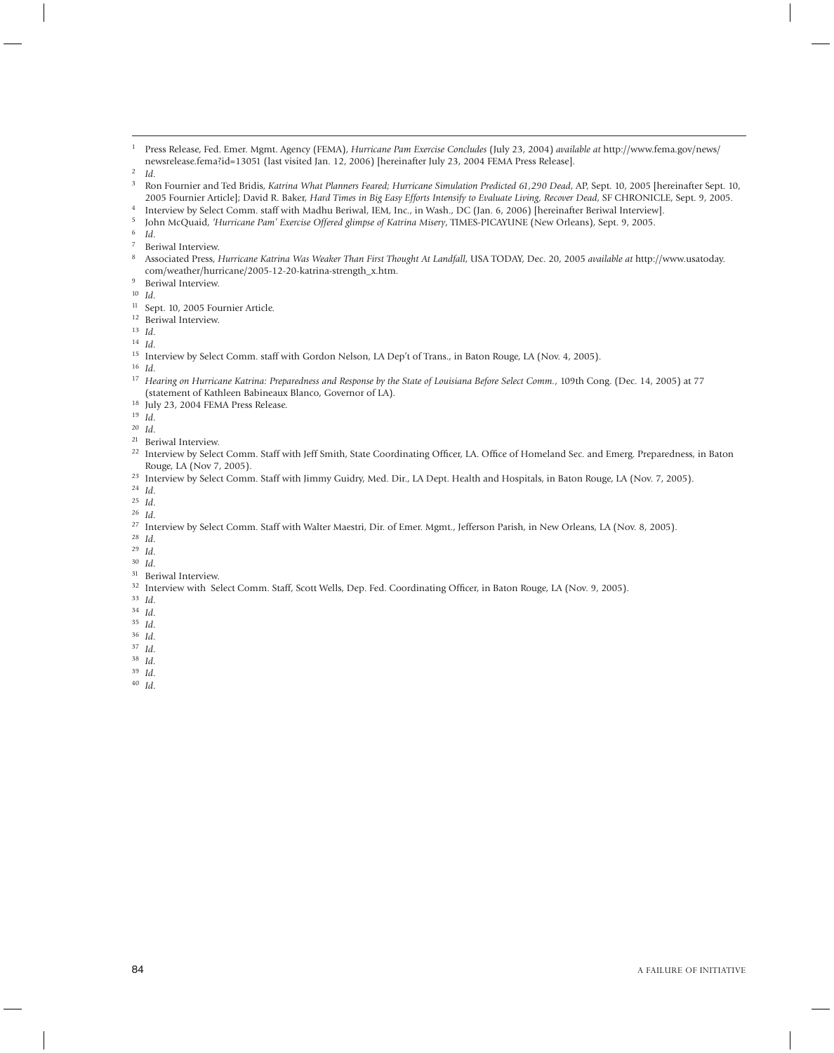- Press Release, Fed. Emer. Mgmt. Agency (FEMA), *Hurricane Pam Exercise Concludes* (July 23, 2004) *available at* http://www.fema.gov/news/ newsrelease.fema?id=13051 (last visited Jan. 12, 2006) [hereinafter July 23, 2004 FEMA Press Release].<br><sup>2</sup> *Id.*<br><sup>3</sup> Pan Fournias and Ted Bridia Katrina What Blausen Forsed: Hurrisona Simulation Bradiated GL 200 Dard.
- 
- Ron Fournier and Ted Bridis, *Katrina What Planners Feared; Hurricane Simulation Predicted 61,290 Dead*, AP, Sept. 10, 2005 [hereinafter Sept. 10, 2005 Fournier Article]; David R. Baker, *Hard Times in Big Easy Efforts Intensify to Evaluate Living, Recover Dead,* SF CHRONICLE, Sept. 9, 2005.<br><sup>4</sup> Interview by Select Comm. staff with Madhu Beriwal, IEM, Inc., in Wash.,
- 
- 
- 
- Beriwal Interview.
- Associated Press, *Hurricane Katrina Was Weaker Than First Thought At Landfall*, USA TODAY, Dec. 20, 2005 *available at* http://www.usatoday. com/weather/hurricane/2005-12-20-katrina-strength\_x.htm.
- Beriwal Interview.
- *Id*.
- 11 Sept. 10, 2005 Fournier Article. 12 Beriwal Interview. 13 *Id*.
- 
- 
- *Id*.
- Interview by Select Comm. staff with Gordon Nelson, LA Dep't of Trans., in Baton Rouge, LA (Nov. 4, 2005).
- *Id*.
- *Hearing on Hurricane Katrina: Preparedness and Response by the State of Louisiana Before Select Comm.*, 109th Cong. (Dec. 14, 2005) at 77 (statement of Kathleen Babineaux Blanco, Governor of LA).
- July 23, 2004 FEMA Press Release. 19 *Id*.
- 
- 
- *Id*.
- <sup>22</sup> Interview by Select Comm. Staff with Jeff Smith, State Coordinating Officer, LA. Office of Homeland Sec. and Emerg. Preparedness, in Baton Rouge, LA (Nov 7, 2005).
- <sup>23</sup> Interview by Select Comm. Staff with Jimmy Guidry, Med. Dir., LA Dept. Health and Hospitals, in Baton Rouge, LA (Nov. 7, 2005).
- *Id*.
- *Id*.
- *Id*.
- <sup>27</sup> Interview by Select Comm. Staff with Walter Maestri, Dir. of Emer. Mgmt., Jefferson Parish, in New Orleans, LA (Nov. 8, 2005).
- *Id*.
- *Id*.
- *Id*.
- 31 Beriwal Interview.
- <sup>32</sup> Interview with Select Comm. Staff, Scott Wells, Dep. Fed. Coordinating Officer, in Baton Rouge, LA (Nov. 9, 2005).
- *Id*.
- *Id*.
- *Id*.
- *Id*.
- *Id*.
- *Id*.
- *Id*.
- *Id*.